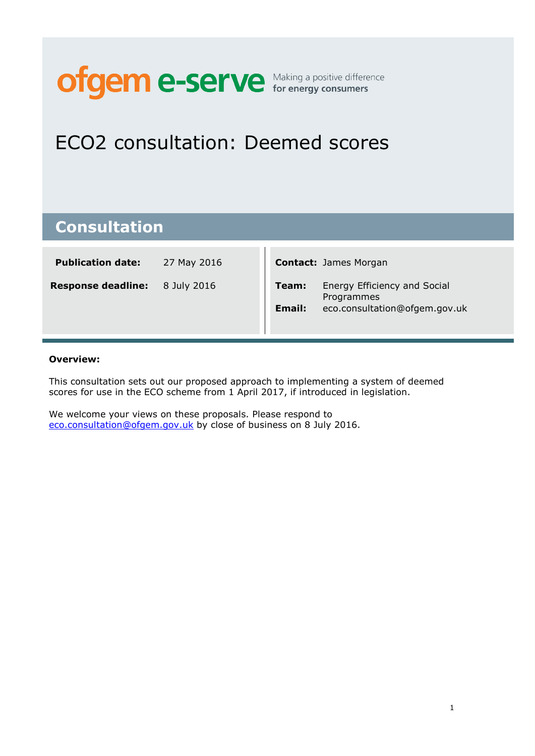# **ofgem e-serve** for energy consumers

# ECO2 consultation: Deemed scores

### **Consultation**

| <b>Publication date:</b> | 27 May 2016 | <b>Contact: James Morgan</b> |
|--------------------------|-------------|------------------------------|
|                          |             |                              |

**Response deadline:** 8 July 2016

|        | <b>Contact:</b> James Morgan               |
|--------|--------------------------------------------|
| Team:  | Energy Efficiency and Social<br>Programmes |
| Email: | eco.consultation@ofgem.gov.uk              |

#### **Overview:**

This consultation sets out our proposed approach to implementing a system of deemed scores for use in the ECO scheme from 1 April 2017, if introduced in legislation.

We welcome your views on these proposals. Please respond to [eco.consultation@ofgem.gov.uk](mailto:eco.consultation@ofgem.gov.uk) by close of business on 8 July 2016.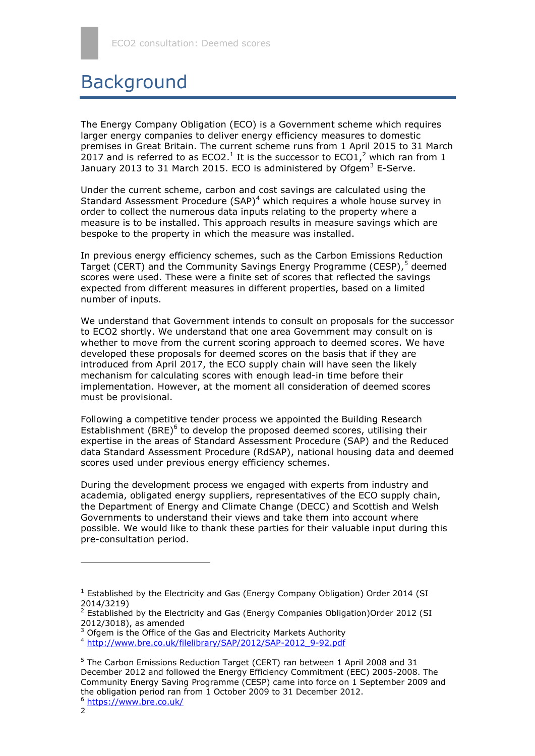### **Background**

The Energy Company Obligation (ECO) is a Government scheme which requires larger energy companies to deliver energy efficiency measures to domestic premises in Great Britain. The current scheme runs from 1 April 2015 to 31 March 2017 and is referred to as ECO2.<sup>1</sup> It is the successor to ECO1,<sup>2</sup> which ran from 1 January 2013 to 31 March 2015. ECO is administered by Ofgem<sup>3</sup> E-Serve.

Under the current scheme, carbon and cost savings are calculated using the Standard Assessment Procedure (SAP)<sup>4</sup> which requires a whole house survey in order to collect the numerous data inputs relating to the property where a measure is to be installed. This approach results in measure savings which are bespoke to the property in which the measure was installed.

In previous energy efficiency schemes, such as the Carbon Emissions Reduction Target (CERT) and the Community Savings Energy Programme (CESP),<sup>5</sup> deemed scores were used. These were a finite set of scores that reflected the savings expected from different measures in different properties, based on a limited number of inputs.

We understand that Government intends to consult on proposals for the successor to ECO2 shortly. We understand that one area Government may consult on is whether to move from the current scoring approach to deemed scores. We have developed these proposals for deemed scores on the basis that if they are introduced from April 2017, the ECO supply chain will have seen the likely mechanism for calculating scores with enough lead-in time before their implementation. However, at the moment all consideration of deemed scores must be provisional.

Following a competitive tender process we appointed the Building Research Establishment (BRE) $<sup>6</sup>$  to develop the proposed deemed scores, utilising their</sup> expertise in the areas of Standard Assessment Procedure (SAP) and the Reduced data Standard Assessment Procedure (RdSAP), national housing data and deemed scores used under previous energy efficiency schemes.

During the development process we engaged with experts from industry and academia, obligated energy suppliers, representatives of the ECO supply chain, the Department of Energy and Climate Change (DECC) and Scottish and Welsh Governments to understand their views and take them into account where possible. We would like to thank these parties for their valuable input during this pre-consultation period.

1

<sup>&</sup>lt;sup>1</sup> Established by the Electricity and Gas (Energy Company Obligation) Order 2014 (SI 2014/3219)

<sup>&</sup>lt;sup>2</sup> Established by the Electricity and Gas (Energy Companies Obligation) Order 2012 (SI 2012/3018), as amended

<sup>&</sup>lt;sup>3</sup> Ofgem is the Office of the Gas and Electricity Markets Authority

<sup>4</sup> [http://www.bre.co.uk/filelibrary/SAP/2012/SAP-2012\\_9-92.pdf](http://www.bre.co.uk/filelibrary/SAP/2012/SAP-2012_9-92.pdf)

<sup>5</sup> The Carbon Emissions Reduction Target (CERT) ran between 1 April 2008 and 31 December 2012 and followed the Energy Efficiency Commitment (EEC) 2005-2008. The Community Energy Saving Programme (CESP) came into force on 1 September 2009 and the obligation period ran from 1 October 2009 to 31 December 2012.

<sup>6</sup> <https://www.bre.co.uk/>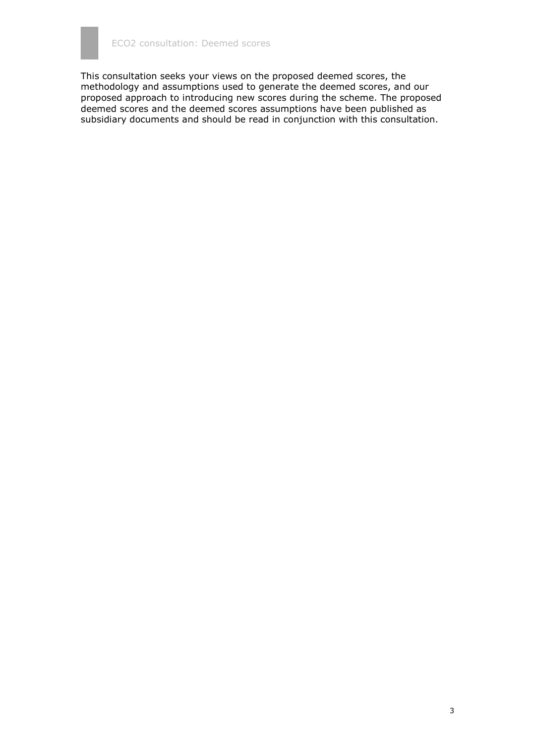This consultation seeks your views on the proposed deemed scores, the methodology and assumptions used to generate the deemed scores, and our proposed approach to introducing new scores during the scheme. The proposed deemed scores and the deemed scores assumptions have been published as subsidiary documents and should be read in conjunction with this consultation.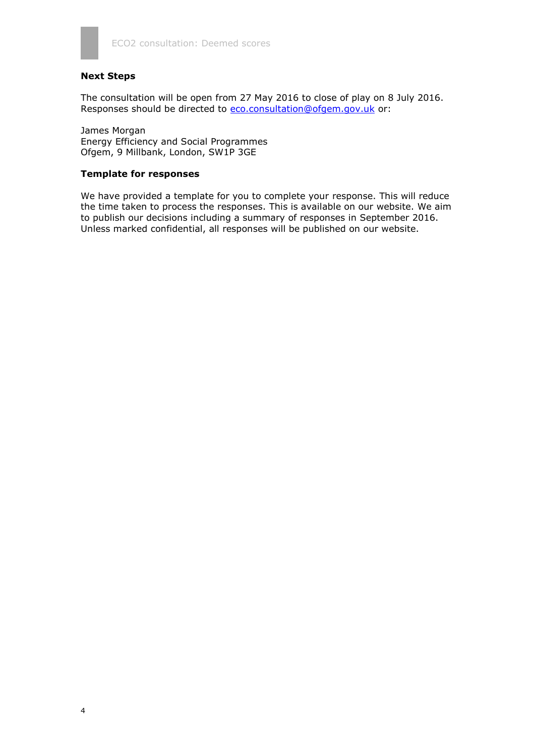

#### **Next Steps**

The consultation will be open from 27 May 2016 to close of play on 8 July 2016. Responses should be directed to [eco.consultation@ofgem.gov.uk](mailto:eco.consultation@ofgem.gov.uk) or:

James Morgan Energy Efficiency and Social Programmes Ofgem, 9 Millbank, London, SW1P 3GE

#### **Template for responses**

We have provided a template for you to complete your response. This will reduce the time taken to process the responses. This is available on our website. We aim to publish our decisions including a summary of responses in September 2016. Unless marked confidential, all responses will be published on our website.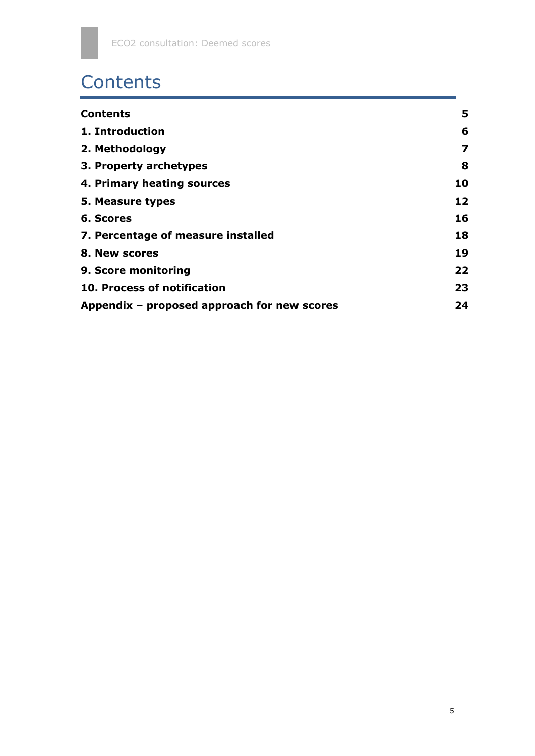# **Contents**

| <b>Contents</b>                             | 5  |
|---------------------------------------------|----|
| 1. Introduction                             | 6  |
| 2. Methodology                              | 7  |
| 3. Property archetypes                      | 8  |
| 4. Primary heating sources                  | 10 |
| 5. Measure types                            | 12 |
| 6. Scores                                   | 16 |
| 7. Percentage of measure installed          | 18 |
| 8. New scores                               | 19 |
| 9. Score monitoring                         | 22 |
| 10. Process of notification                 | 23 |
| Appendix – proposed approach for new scores | 24 |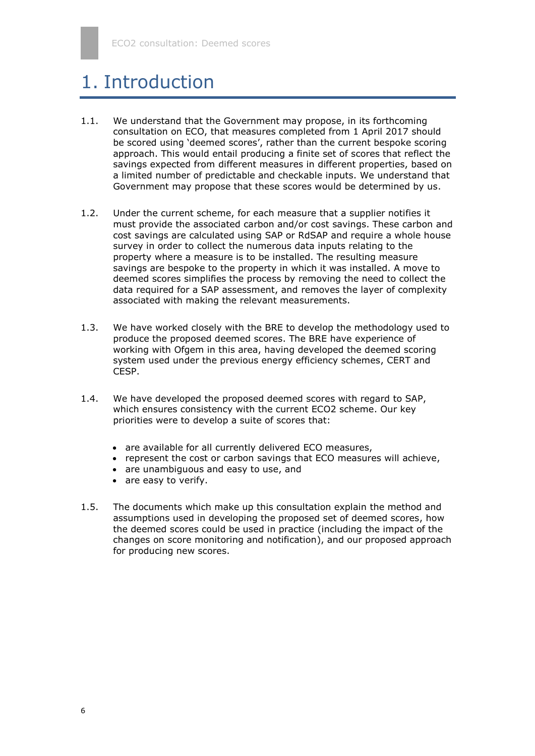### 1. Introduction

- 1.1. We understand that the Government may propose, in its forthcoming consultation on ECO, that measures completed from 1 April 2017 should be scored using 'deemed scores', rather than the current bespoke scoring approach. This would entail producing a finite set of scores that reflect the savings expected from different measures in different properties, based on a limited number of predictable and checkable inputs. We understand that Government may propose that these scores would be determined by us.
- 1.2. Under the current scheme, for each measure that a supplier notifies it must provide the associated carbon and/or cost savings. These carbon and cost savings are calculated using SAP or RdSAP and require a whole house survey in order to collect the numerous data inputs relating to the property where a measure is to be installed. The resulting measure savings are bespoke to the property in which it was installed. A move to deemed scores simplifies the process by removing the need to collect the data required for a SAP assessment, and removes the layer of complexity associated with making the relevant measurements.
- 1.3. We have worked closely with the BRE to develop the methodology used to produce the proposed deemed scores. The BRE have experience of working with Ofgem in this area, having developed the deemed scoring system used under the previous energy efficiency schemes, CERT and CESP.
- 1.4. We have developed the proposed deemed scores with regard to SAP, which ensures consistency with the current ECO2 scheme. Our key priorities were to develop a suite of scores that:
	- are available for all currently delivered ECO measures,
	- represent the cost or carbon savings that ECO measures will achieve,
	- are unambiguous and easy to use, and
	- are easy to verify.
- 1.5. The documents which make up this consultation explain the method and assumptions used in developing the proposed set of deemed scores, how the deemed scores could be used in practice (including the impact of the changes on score monitoring and notification), and our proposed approach for producing new scores.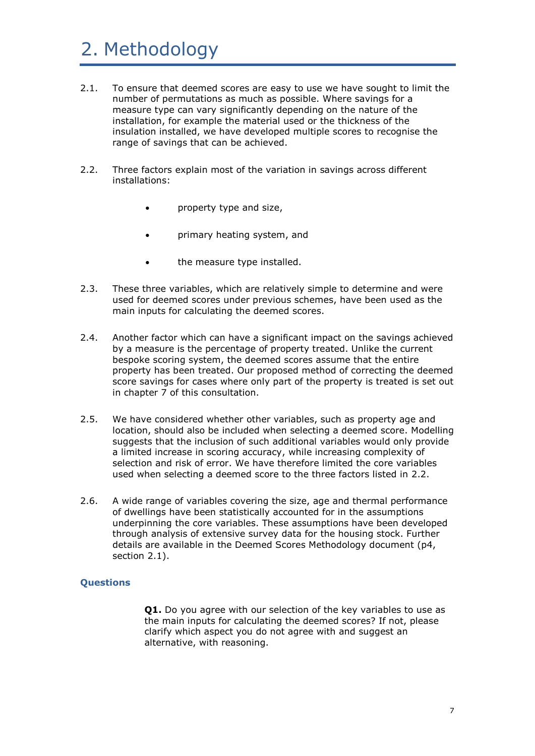# 2. Methodology

- 2.1. To ensure that deemed scores are easy to use we have sought to limit the number of permutations as much as possible. Where savings for a measure type can vary significantly depending on the nature of the installation, for example the material used or the thickness of the insulation installed, we have developed multiple scores to recognise the range of savings that can be achieved.
- 2.2. Three factors explain most of the variation in savings across different installations:
	- property type and size,
	- primary heating system, and
	- the measure type installed.
- 2.3. These three variables, which are relatively simple to determine and were used for deemed scores under previous schemes, have been used as the main inputs for calculating the deemed scores.
- 2.4. Another factor which can have a significant impact on the savings achieved by a measure is the percentage of property treated. Unlike the current bespoke scoring system, the deemed scores assume that the entire property has been treated. Our proposed method of correcting the deemed score savings for cases where only part of the property is treated is set out in chapter 7 of this consultation.
- 2.5. We have considered whether other variables, such as property age and location, should also be included when selecting a deemed score. Modelling suggests that the inclusion of such additional variables would only provide a limited increase in scoring accuracy, while increasing complexity of selection and risk of error. We have therefore limited the core variables used when selecting a deemed score to the three factors listed in 2.2.
- 2.6. A wide range of variables covering the size, age and thermal performance of dwellings have been statistically accounted for in the assumptions underpinning the core variables. These assumptions have been developed through analysis of extensive survey data for the housing stock. Further details are available in the Deemed Scores Methodology document (p4, section 2.1).

#### **Questions**

**Q1.** Do you agree with our selection of the key variables to use as the main inputs for calculating the deemed scores? If not, please clarify which aspect you do not agree with and suggest an alternative, with reasoning.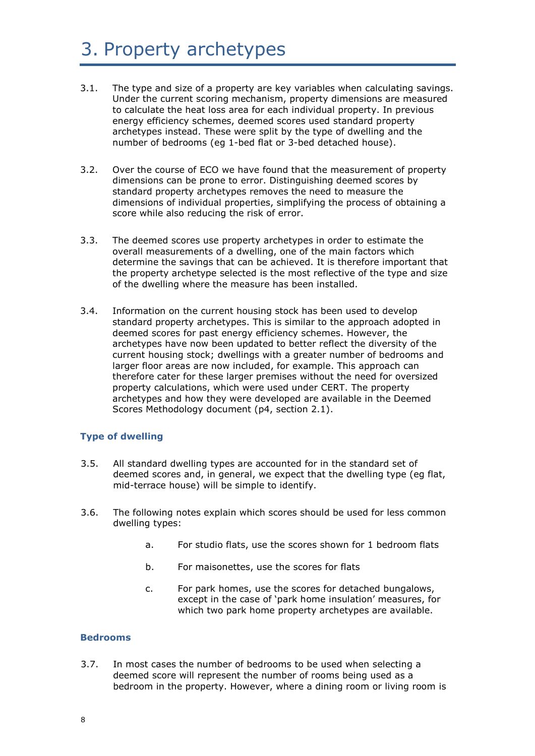## 3. Property archetypes

- 3.1. The type and size of a property are key variables when calculating savings. Under the current scoring mechanism, property dimensions are measured to calculate the heat loss area for each individual property. In previous energy efficiency schemes, deemed scores used standard property archetypes instead. These were split by the type of dwelling and the number of bedrooms (eg 1-bed flat or 3-bed detached house).
- 3.2. Over the course of ECO we have found that the measurement of property dimensions can be prone to error. Distinguishing deemed scores by standard property archetypes removes the need to measure the dimensions of individual properties, simplifying the process of obtaining a score while also reducing the risk of error.
- 3.3. The deemed scores use property archetypes in order to estimate the overall measurements of a dwelling, one of the main factors which determine the savings that can be achieved. It is therefore important that the property archetype selected is the most reflective of the type and size of the dwelling where the measure has been installed.
- 3.4. Information on the current housing stock has been used to develop standard property archetypes. This is similar to the approach adopted in deemed scores for past energy efficiency schemes. However, the archetypes have now been updated to better reflect the diversity of the current housing stock; dwellings with a greater number of bedrooms and larger floor areas are now included, for example. This approach can therefore cater for these larger premises without the need for oversized property calculations, which were used under CERT. The property archetypes and how they were developed are available in the Deemed Scores Methodology document (p4, section 2.1).

#### **Type of dwelling**

- 3.5. All standard dwelling types are accounted for in the standard set of deemed scores and, in general, we expect that the dwelling type (eg flat, mid-terrace house) will be simple to identify.
- 3.6. The following notes explain which scores should be used for less common dwelling types:
	- a. For studio flats, use the scores shown for 1 bedroom flats
	- b. For maisonettes, use the scores for flats
	- c. For park homes, use the scores for detached bungalows, except in the case of 'park home insulation' measures, for which two park home property archetypes are available.

#### **Bedrooms**

3.7. In most cases the number of bedrooms to be used when selecting a deemed score will represent the number of rooms being used as a bedroom in the property. However, where a dining room or living room is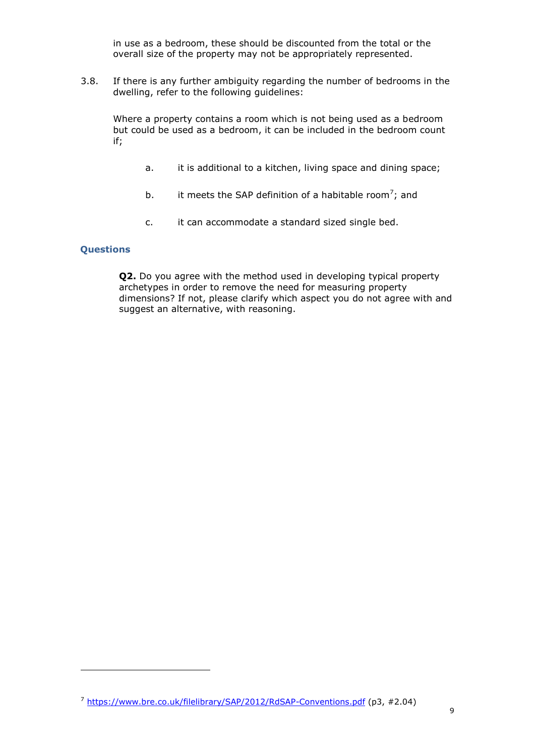in use as a bedroom, these should be discounted from the total or the overall size of the property may not be appropriately represented.

3.8. If there is any further ambiguity regarding the number of bedrooms in the dwelling, refer to the following guidelines:

Where a property contains a room which is not being used as a bedroom but could be used as a bedroom, it can be included in the bedroom count if;

- a. it is additional to a kitchen, living space and dining space;
- b. it meets the SAP definition of a habitable room<sup>7</sup>; and
- c. it can accommodate a standard sized single bed.

#### **Questions**

1

**Q2.** Do you agree with the method used in developing typical property archetypes in order to remove the need for measuring property dimensions? If not, please clarify which aspect you do not agree with and suggest an alternative, with reasoning.

<sup>7</sup> <https://www.bre.co.uk/filelibrary/SAP/2012/RdSAP-Conventions.pdf> (p3, #2.04)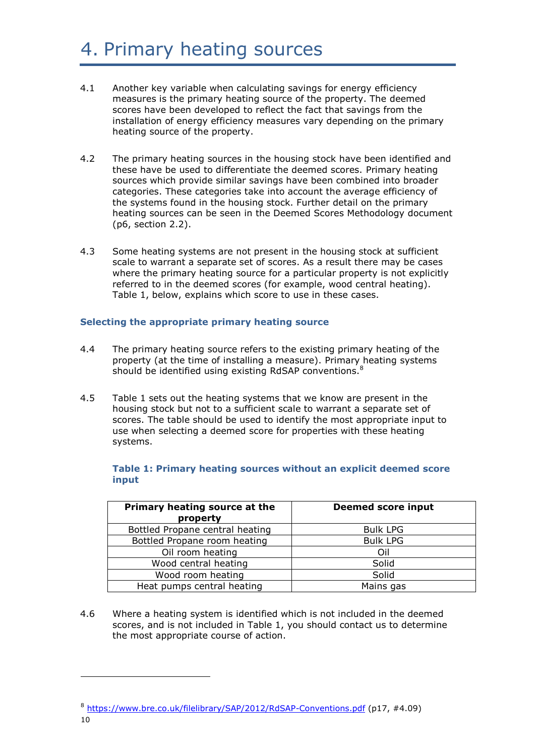# 4. Primary heating sources

- 4.1 Another key variable when calculating savings for energy efficiency measures is the primary heating source of the property. The deemed scores have been developed to reflect the fact that savings from the installation of energy efficiency measures vary depending on the primary heating source of the property.
- 4.2 The primary heating sources in the housing stock have been identified and these have be used to differentiate the deemed scores. Primary heating sources which provide similar savings have been combined into broader categories. These categories take into account the average efficiency of the systems found in the housing stock. Further detail on the primary heating sources can be seen in the Deemed Scores Methodology document (p6, section 2.2).
- 4.3 Some heating systems are not present in the housing stock at sufficient scale to warrant a separate set of scores. As a result there may be cases where the primary heating source for a particular property is not explicitly referred to in the deemed scores (for example, wood central heating). Table 1, below, explains which score to use in these cases.

#### **Selecting the appropriate primary heating source**

- 4.4 The primary heating source refers to the existing primary heating of the property (at the time of installing a measure). Primary heating systems should be identified using existing RdSAP conventions.<sup>8</sup>
- 4.5 Table 1 sets out the heating systems that we know are present in the housing stock but not to a sufficient scale to warrant a separate set of scores. The table should be used to identify the most appropriate input to use when selecting a deemed score for properties with these heating systems.

| Primary heating source at the<br>property | <b>Deemed score input</b> |
|-------------------------------------------|---------------------------|
| Bottled Propane central heating           | <b>Bulk LPG</b>           |
| Bottled Propane room heating              | <b>Bulk LPG</b>           |
| Oil room heating                          | Oil                       |
| Wood central heating                      | Solid                     |
| Wood room heating                         | Solid                     |
| Heat pumps central heating                | Mains gas                 |

**Table 1: Primary heating sources without an explicit deemed score input**

4.6 Where a heating system is identified which is not included in the deemed scores, and is not included in Table 1, you should contact us to determine the most appropriate course of action.

<sup>8</sup> <https://www.bre.co.uk/filelibrary/SAP/2012/RdSAP-Conventions.pdf> (p17, #4.09)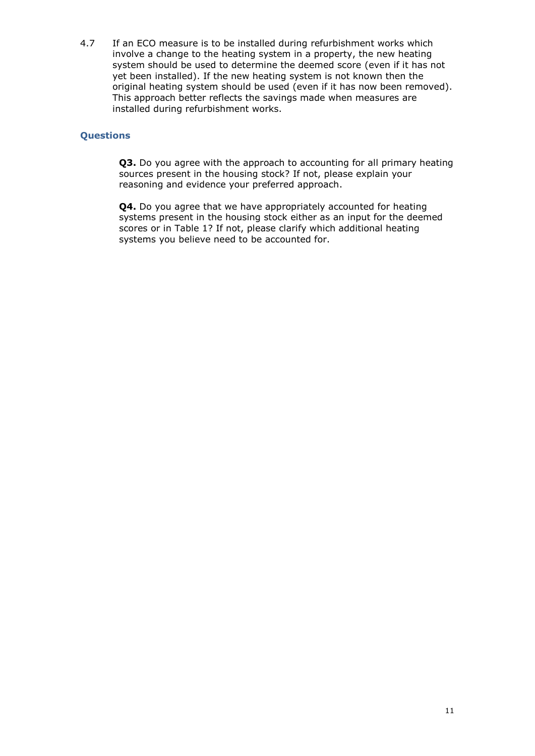4.7 If an ECO measure is to be installed during refurbishment works which involve a change to the heating system in a property, the new heating system should be used to determine the deemed score (even if it has not yet been installed). If the new heating system is not known then the original heating system should be used (even if it has now been removed). This approach better reflects the savings made when measures are installed during refurbishment works.

#### **Questions**

**Q3.** Do you agree with the approach to accounting for all primary heating sources present in the housing stock? If not, please explain your reasoning and evidence your preferred approach.

**Q4.** Do you agree that we have appropriately accounted for heating systems present in the housing stock either as an input for the deemed scores or in Table 1? If not, please clarify which additional heating systems you believe need to be accounted for.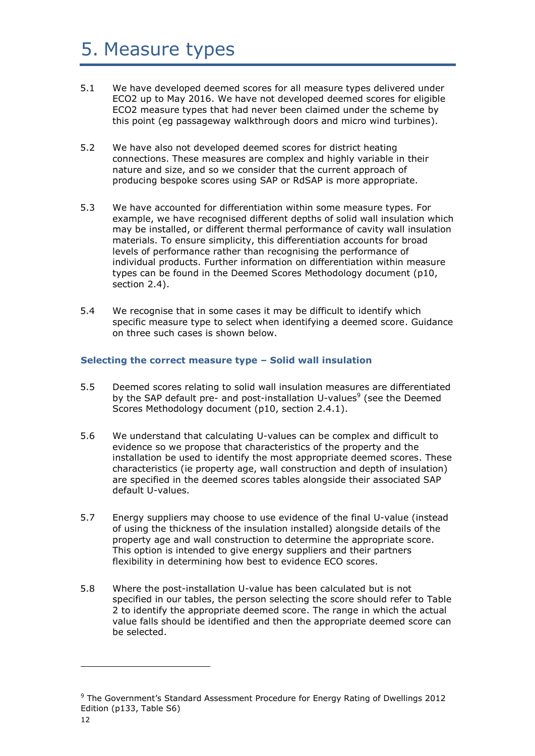### 5. Measure types

- 5.1 We have developed deemed scores for all measure types delivered under ECO2 up to May 2016. We have not developed deemed scores for eligible ECO2 measure types that had never been claimed under the scheme by this point (eg passageway walkthrough doors and micro wind turbines).
- 5.2 We have also not developed deemed scores for district heating connections. These measures are complex and highly variable in their nature and size, and so we consider that the current approach of producing bespoke scores using SAP or RdSAP is more appropriate.
- 5.3 We have accounted for differentiation within some measure types. For example, we have recognised different depths of solid wall insulation which may be installed, or different thermal performance of cavity wall insulation materials. To ensure simplicity, this differentiation accounts for broad levels of performance rather than recognising the performance of individual products. Further information on differentiation within measure types can be found in the Deemed Scores Methodology document (p10, section 2.4).
- 5.4 We recognise that in some cases it may be difficult to identify which specific measure type to select when identifying a deemed score. Guidance on three such cases is shown below.

#### **Selecting the correct measure type – Solid wall insulation**

- 5.5 Deemed scores relating to solid wall insulation measures are differentiated by the SAP default pre- and post-installation U-values<sup>9</sup> (see the Deemed Scores Methodology document (p10, section 2.4.1).
- 5.6 We understand that calculating U-values can be complex and difficult to evidence so we propose that characteristics of the property and the installation be used to identify the most appropriate deemed scores. These characteristics (ie property age, wall construction and depth of insulation) are specified in the deemed scores tables alongside their associated SAP default U-values.
- 5.7 Energy suppliers may choose to use evidence of the final U-value (instead of using the thickness of the insulation installed) alongside details of the property age and wall construction to determine the appropriate score. This option is intended to give energy suppliers and their partners flexibility in determining how best to evidence ECO scores.
- 5.8 Where the post-installation U-value has been calculated but is not specified in our tables, the person selecting the score should refer to Table 2 to identify the appropriate deemed score. The range in which the actual value falls should be identified and then the appropriate deemed score can be selected.

1

<sup>&</sup>lt;sup>9</sup> The Government's Standard Assessment Procedure for Energy Rating of Dwellings 2012 Edition (p133, Table S6)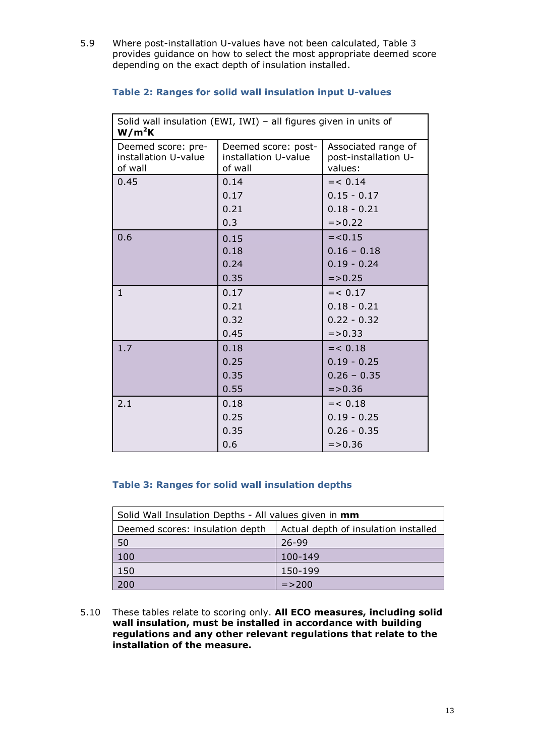5.9 Where post-installation U-values have not been calculated, Table 3 provides guidance on how to select the most appropriate deemed score depending on the exact depth of insulation installed.

| Solid wall insulation (EWI, IWI) - all figures given in units of<br>$W/m^2K$ |                                                        |                                                        |
|------------------------------------------------------------------------------|--------------------------------------------------------|--------------------------------------------------------|
| Deemed score: pre-<br>installation U-value<br>of wall                        | Deemed score: post-<br>installation U-value<br>of wall | Associated range of<br>post-installation U-<br>values: |
| 0.45                                                                         | 0.14                                                   | $= < 0.14$                                             |
|                                                                              | 0.17                                                   | $0.15 - 0.17$                                          |
|                                                                              | 0.21                                                   | $0.18 - 0.21$                                          |
|                                                                              | 0.3                                                    | $= > 0.22$                                             |
| 0.6                                                                          | 0.15                                                   | $=<0.15$                                               |
|                                                                              | 0.18                                                   | $0.16 - 0.18$                                          |
|                                                                              | 0.24                                                   | $0.19 - 0.24$                                          |
|                                                                              | 0.35                                                   | $= > 0.25$                                             |
| $\mathbf{1}$                                                                 | 0.17                                                   | $= < 0.17$                                             |
|                                                                              | 0.21                                                   | $0.18 - 0.21$                                          |
|                                                                              | 0.32                                                   | $0.22 - 0.32$                                          |
|                                                                              | 0.45                                                   | $= > 0.33$                                             |
| 1.7                                                                          | 0.18                                                   | $= < 0.18$                                             |
|                                                                              | 0.25                                                   | $0.19 - 0.25$                                          |
|                                                                              | 0.35                                                   | $0.26 - 0.35$                                          |
|                                                                              | 0.55                                                   | $= > 0.36$                                             |
| 2.1                                                                          | 0.18                                                   | $= < 0.18$                                             |
|                                                                              | 0.25                                                   | $0.19 - 0.25$                                          |
|                                                                              | 0.35                                                   | $0.26 - 0.35$                                          |
|                                                                              | 0.6                                                    | $=$ > 0.36                                             |

#### **Table 2: Ranges for solid wall insulation input U-values**

#### **Table 3: Ranges for solid wall insulation depths**

| Solid Wall Insulation Depths - All values given in mm |                                      |
|-------------------------------------------------------|--------------------------------------|
| Deemed scores: insulation depth                       | Actual depth of insulation installed |
| 50                                                    | 26-99                                |
| 100                                                   | 100-149                              |
| 150                                                   | 150-199                              |
| 200                                                   | $=$ > 200                            |

5.10 These tables relate to scoring only. **All ECO measures, including solid wall insulation, must be installed in accordance with building regulations and any other relevant regulations that relate to the installation of the measure.**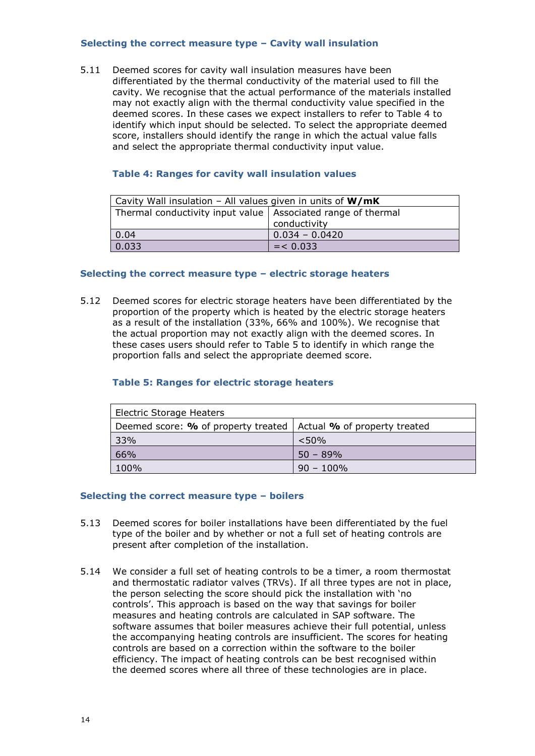#### **Selecting the correct measure type – Cavity wall insulation**

5.11 Deemed scores for cavity wall insulation measures have been differentiated by the thermal conductivity of the material used to fill the cavity. We recognise that the actual performance of the materials installed may not exactly align with the thermal conductivity value specified in the deemed scores. In these cases we expect installers to refer to Table 4 to identify which input should be selected. To select the appropriate deemed score, installers should identify the range in which the actual value falls and select the appropriate thermal conductivity input value.

#### **Table 4: Ranges for cavity wall insulation values**

| Cavity Wall insulation - All values given in units of $W/mK$   |                      |  |
|----------------------------------------------------------------|----------------------|--|
| Thermal conductivity input value   Associated range of thermal |                      |  |
|                                                                | conductivity         |  |
| 0.04                                                           | $  0.034 - 0.0420  $ |  |
| 0.033                                                          | $=$ < 0.033          |  |

#### **Selecting the correct measure type – electric storage heaters**

5.12 Deemed scores for electric storage heaters have been differentiated by the proportion of the property which is heated by the electric storage heaters as a result of the installation (33%, 66% and 100%). We recognise that the actual proportion may not exactly align with the deemed scores. In these cases users should refer to Table 5 to identify in which range the proportion falls and select the appropriate deemed score.

#### **Table 5: Ranges for electric storage heaters**

| <b>Electric Storage Heaters</b>                                          |              |  |
|--------------------------------------------------------------------------|--------------|--|
| Deemed score: $\%$ of property treated   Actual $\%$ of property treated |              |  |
| 33%                                                                      | < 50%        |  |
| 66%                                                                      | $50 - 89%$   |  |
| 100%                                                                     | $90 - 100\%$ |  |

#### **Selecting the correct measure type – boilers**

- 5.13 Deemed scores for boiler installations have been differentiated by the fuel type of the boiler and by whether or not a full set of heating controls are present after completion of the installation.
- 5.14 We consider a full set of heating controls to be a timer, a room thermostat and thermostatic radiator valves (TRVs). If all three types are not in place, the person selecting the score should pick the installation with 'no controls'. This approach is based on the way that savings for boiler measures and heating controls are calculated in SAP software. The software assumes that boiler measures achieve their full potential, unless the accompanying heating controls are insufficient. The scores for heating controls are based on a correction within the software to the boiler efficiency. The impact of heating controls can be best recognised within the deemed scores where all three of these technologies are in place.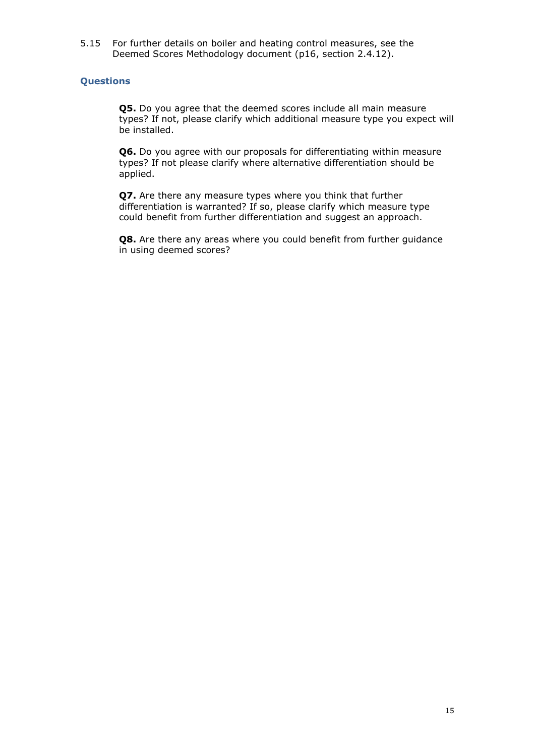5.15 For further details on boiler and heating control measures, see the Deemed Scores Methodology document (p16, section 2.4.12).

#### **Questions**

**Q5.** Do you agree that the deemed scores include all main measure types? If not, please clarify which additional measure type you expect will be installed.

**Q6.** Do you agree with our proposals for differentiating within measure types? If not please clarify where alternative differentiation should be applied.

**Q7.** Are there any measure types where you think that further differentiation is warranted? If so, please clarify which measure type could benefit from further differentiation and suggest an approach.

**Q8.** Are there any areas where you could benefit from further guidance in using deemed scores?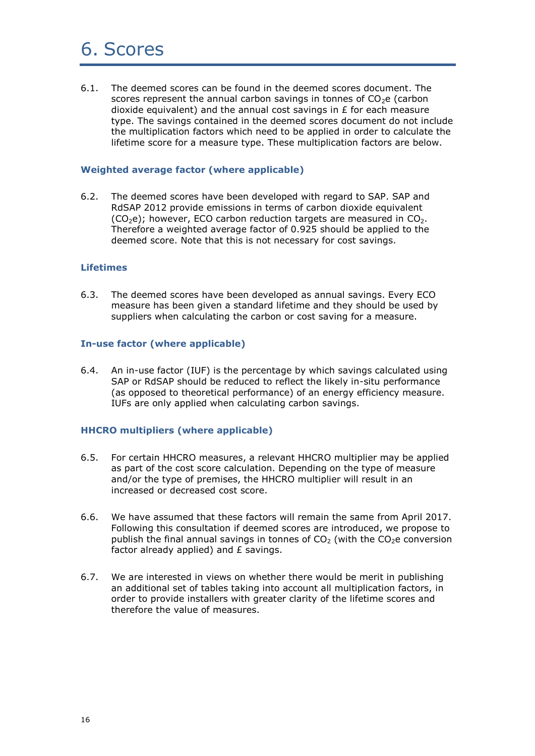### 6. Scores

6.1. The deemed scores can be found in the deemed scores document. The scores represent the annual carbon savings in tonnes of  $CO<sub>2</sub>e$  (carbon dioxide equivalent) and the annual cost savings in £ for each measure type. The savings contained in the deemed scores document do not include the multiplication factors which need to be applied in order to calculate the lifetime score for a measure type. These multiplication factors are below.

#### **Weighted average factor (where applicable)**

6.2. The deemed scores have been developed with regard to SAP. SAP and RdSAP 2012 provide emissions in terms of carbon dioxide equivalent  $(CO<sub>2</sub>e)$ ; however, ECO carbon reduction targets are measured in CO<sub>2</sub>. Therefore a weighted average factor of 0.925 should be applied to the deemed score. Note that this is not necessary for cost savings.

#### **Lifetimes**

6.3. The deemed scores have been developed as annual savings. Every ECO measure has been given a standard lifetime and they should be used by suppliers when calculating the carbon or cost saving for a measure.

#### **In-use factor (where applicable)**

6.4. An in-use factor (IUF) is the percentage by which savings calculated using SAP or RdSAP should be reduced to reflect the likely in-situ performance (as opposed to theoretical performance) of an energy efficiency measure. IUFs are only applied when calculating carbon savings.

#### **HHCRO multipliers (where applicable)**

- 6.5. For certain HHCRO measures, a relevant HHCRO multiplier may be applied as part of the cost score calculation. Depending on the type of measure and/or the type of premises, the HHCRO multiplier will result in an increased or decreased cost score.
- 6.6. We have assumed that these factors will remain the same from April 2017. Following this consultation if deemed scores are introduced, we propose to publish the final annual savings in tonnes of  $CO<sub>2</sub>$  (with the  $CO<sub>2</sub>$  conversion factor already applied) and £ savings.
- 6.7. We are interested in views on whether there would be merit in publishing an additional set of tables taking into account all multiplication factors, in order to provide installers with greater clarity of the lifetime scores and therefore the value of measures.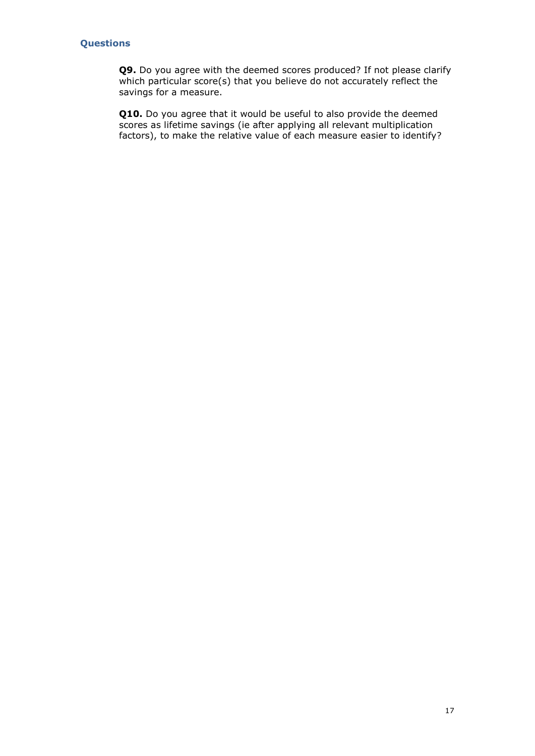#### **Questions**

**Q9.** Do you agree with the deemed scores produced? If not please clarify which particular score(s) that you believe do not accurately reflect the savings for a measure.

**Q10.** Do you agree that it would be useful to also provide the deemed scores as lifetime savings (ie after applying all relevant multiplication factors), to make the relative value of each measure easier to identify?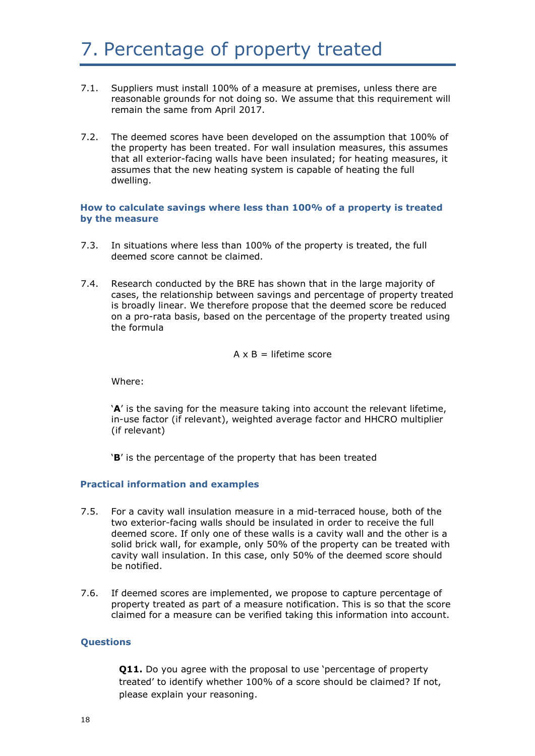# 7. Percentage of property treated

- 7.1. Suppliers must install 100% of a measure at premises, unless there are reasonable grounds for not doing so. We assume that this requirement will remain the same from April 2017.
- 7.2. The deemed scores have been developed on the assumption that 100% of the property has been treated. For wall insulation measures, this assumes that all exterior-facing walls have been insulated; for heating measures, it assumes that the new heating system is capable of heating the full dwelling.

#### **How to calculate savings where less than 100% of a property is treated by the measure**

- 7.3. In situations where less than 100% of the property is treated, the full deemed score cannot be claimed.
- 7.4. Research conducted by the BRE has shown that in the large majority of cases, the relationship between savings and percentage of property treated is broadly linear. We therefore propose that the deemed score be reduced on a pro-rata basis, based on the percentage of the property treated using the formula

$$
A \times B =
$$
 lifetime score

Where:

'**A**' is the saving for the measure taking into account the relevant lifetime, in-use factor (if relevant), weighted average factor and HHCRO multiplier (if relevant)

'**B**' is the percentage of the property that has been treated

#### **Practical information and examples**

- 7.5. For a cavity wall insulation measure in a mid-terraced house, both of the two exterior-facing walls should be insulated in order to receive the full deemed score. If only one of these walls is a cavity wall and the other is a solid brick wall, for example, only 50% of the property can be treated with cavity wall insulation. In this case, only 50% of the deemed score should be notified.
- 7.6. If deemed scores are implemented, we propose to capture percentage of property treated as part of a measure notification. This is so that the score claimed for a measure can be verified taking this information into account.

#### **Questions**

**Q11.** Do you agree with the proposal to use 'percentage of property treated' to identify whether 100% of a score should be claimed? If not, please explain your reasoning.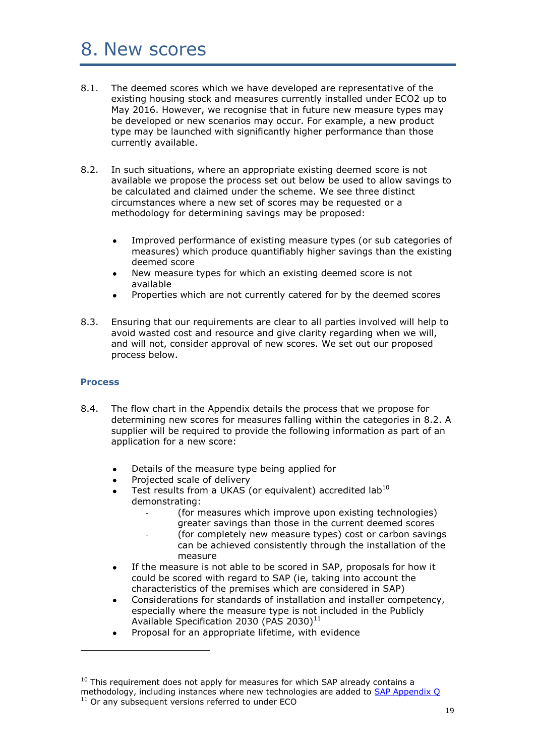### 8. New scores

- 8.1. The deemed scores which we have developed are representative of the existing housing stock and measures currently installed under ECO2 up to May 2016. However, we recognise that in future new measure types may be developed or new scenarios may occur. For example, a new product type may be launched with significantly higher performance than those currently available.
- 8.2. In such situations, where an appropriate existing deemed score is not available we propose the process set out below be used to allow savings to be calculated and claimed under the scheme. We see three distinct circumstances where a new set of scores may be requested or a methodology for determining savings may be proposed:
	- Improved performance of existing measure types (or sub categories of measures) which produce quantifiably higher savings than the existing deemed score
	- New measure types for which an existing deemed score is not available
	- Properties which are not currently catered for by the deemed scores
- 8.3. Ensuring that our requirements are clear to all parties involved will help to avoid wasted cost and resource and give clarity regarding when we will, and will not, consider approval of new scores. We set out our proposed process below.

#### **Process**

-

- 8.4. The flow chart in the Appendix details the process that we propose for determining new scores for measures falling within the categories in 8.2. A supplier will be required to provide the following information as part of an application for a new score:
	- Details of the measure type being applied for
	- Projected scale of delivery
	- Test results from a UKAS (or equivalent) accredited lab<sup>10</sup> demonstrating:
		- (for measures which improve upon existing technologies) greater savings than those in the current deemed scores
			- (for completely new measure types) cost or carbon savings
			- can be achieved consistently through the installation of the measure
	- If the measure is not able to be scored in SAP, proposals for how it could be scored with regard to SAP (ie, taking into account the characteristics of the premises which are considered in SAP)
	- Considerations for standards of installation and installer competency, especially where the measure type is not included in the Publicly Available Specification 2030 (PAS 2030)<sup>11</sup>
	- Proposal for an appropriate lifetime, with evidence

 $10$  This requirement does not apply for measures for which SAP already contains a methodology, including instances where new technologies are added to [SAP Appendix Q](http://www.ncm-pcdb.org.uk/sap/page.jsp?id=18) <sup>11</sup> Or any subsequent versions referred to under ECO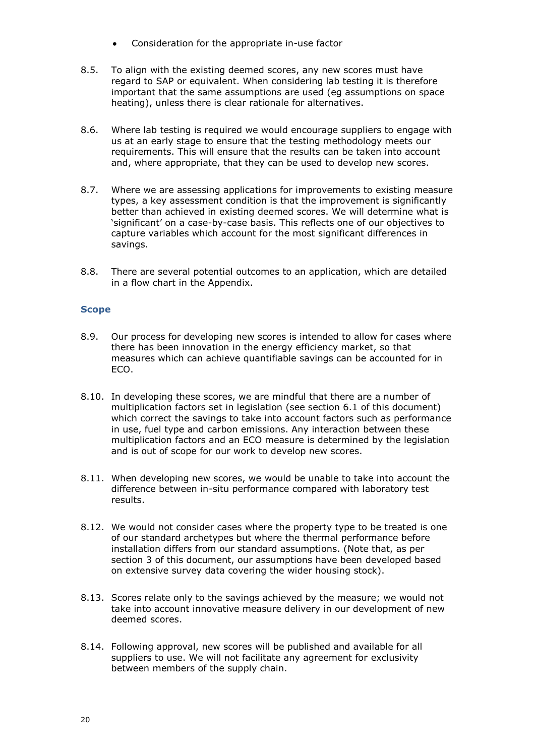- Consideration for the appropriate in-use factor
- 8.5. To align with the existing deemed scores, any new scores must have regard to SAP or equivalent. When considering lab testing it is therefore important that the same assumptions are used (eg assumptions on space heating), unless there is clear rationale for alternatives.
- 8.6. Where lab testing is required we would encourage suppliers to engage with us at an early stage to ensure that the testing methodology meets our requirements. This will ensure that the results can be taken into account and, where appropriate, that they can be used to develop new scores.
- 8.7. Where we are assessing applications for improvements to existing measure types, a key assessment condition is that the improvement is significantly better than achieved in existing deemed scores. We will determine what is 'significant' on a case-by-case basis. This reflects one of our objectives to capture variables which account for the most significant differences in savings.
- 8.8. There are several potential outcomes to an application, which are detailed in a flow chart in the Appendix.

#### **Scope**

- 8.9. Our process for developing new scores is intended to allow for cases where there has been innovation in the energy efficiency market, so that measures which can achieve quantifiable savings can be accounted for in ECO.
- 8.10. In developing these scores, we are mindful that there are a number of multiplication factors set in legislation (see section 6.1 of this document) which correct the savings to take into account factors such as performance in use, fuel type and carbon emissions. Any interaction between these multiplication factors and an ECO measure is determined by the legislation and is out of scope for our work to develop new scores.
- 8.11. When developing new scores, we would be unable to take into account the difference between in-situ performance compared with laboratory test results.
- 8.12. We would not consider cases where the property type to be treated is one of our standard archetypes but where the thermal performance before installation differs from our standard assumptions. (Note that, as per section 3 of this document, our assumptions have been developed based on extensive survey data covering the wider housing stock).
- 8.13. Scores relate only to the savings achieved by the measure; we would not take into account innovative measure delivery in our development of new deemed scores.
- 8.14. Following approval, new scores will be published and available for all suppliers to use. We will not facilitate any agreement for exclusivity between members of the supply chain.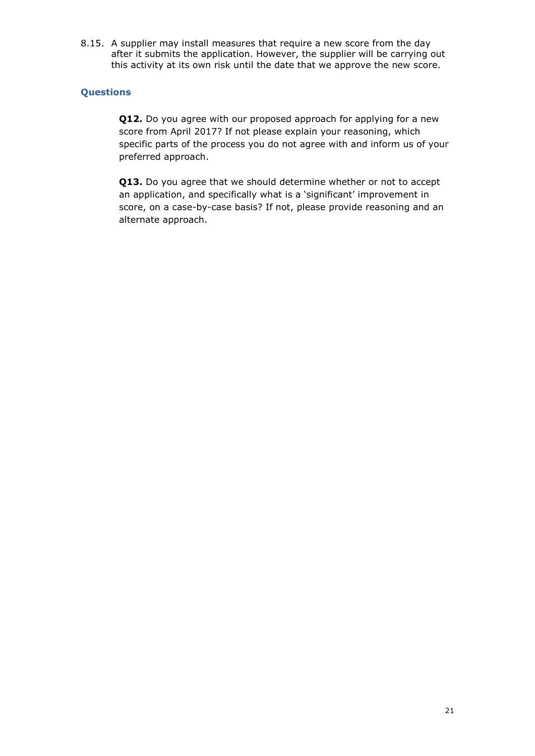8.15. A supplier may install measures that require a new score from the day after it submits the application. However, the supplier will be carrying out this activity at its own risk until the date that we approve the new score.

#### **Questions**

**Q12.** Do you agree with our proposed approach for applying for a new score from April 2017? If not please explain your reasoning, which specific parts of the process you do not agree with and inform us of your preferred approach.

**Q13.** Do you agree that we should determine whether or not to accept an application, and specifically what is a 'significant' improvement in score, on a case-by-case basis? If not, please provide reasoning and an alternate approach.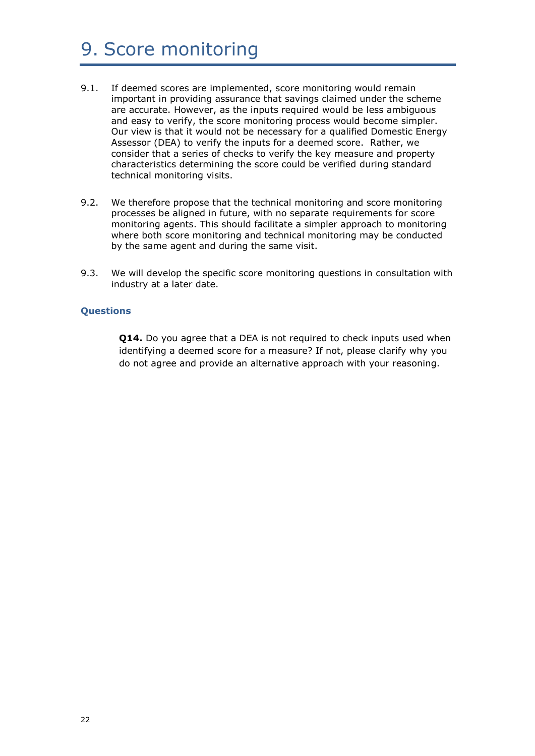# 9. Score monitoring

- 9.1. If deemed scores are implemented, score monitoring would remain important in providing assurance that savings claimed under the scheme are accurate. However, as the inputs required would be less ambiguous and easy to verify, the score monitoring process would become simpler. Our view is that it would not be necessary for a qualified Domestic Energy Assessor (DEA) to verify the inputs for a deemed score. Rather, we consider that a series of checks to verify the key measure and property characteristics determining the score could be verified during standard technical monitoring visits.
- 9.2. We therefore propose that the technical monitoring and score monitoring processes be aligned in future, with no separate requirements for score monitoring agents. This should facilitate a simpler approach to monitoring where both score monitoring and technical monitoring may be conducted by the same agent and during the same visit.
- 9.3. We will develop the specific score monitoring questions in consultation with industry at a later date.

#### **Questions**

**Q14.** Do you agree that a DEA is not required to check inputs used when identifying a deemed score for a measure? If not, please clarify why you do not agree and provide an alternative approach with your reasoning.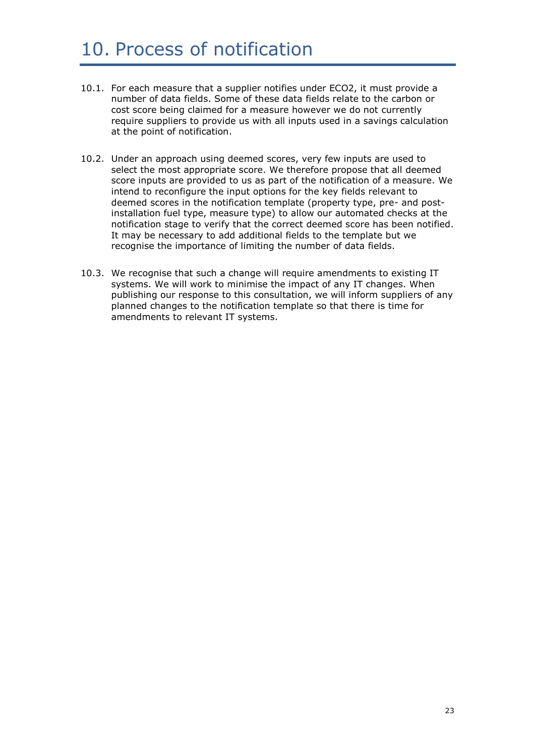### 10. Process of notification

- 10.1. For each measure that a supplier notifies under ECO2, it must provide a number of data fields. Some of these data fields relate to the carbon or cost score being claimed for a measure however we do not currently require suppliers to provide us with all inputs used in a savings calculation at the point of notification.
- 10.2. Under an approach using deemed scores, very few inputs are used to select the most appropriate score. We therefore propose that all deemed score inputs are provided to us as part of the notification of a measure. We intend to reconfigure the input options for the key fields relevant to deemed scores in the notification template (property type, pre- and postinstallation fuel type, measure type) to allow our automated checks at the notification stage to verify that the correct deemed score has been notified. It may be necessary to add additional fields to the template but we recognise the importance of limiting the number of data fields.
- 10.3. We recognise that such a change will require amendments to existing IT systems. We will work to minimise the impact of any IT changes. When publishing our response to this consultation, we will inform suppliers of any planned changes to the notification template so that there is time for amendments to relevant IT systems.